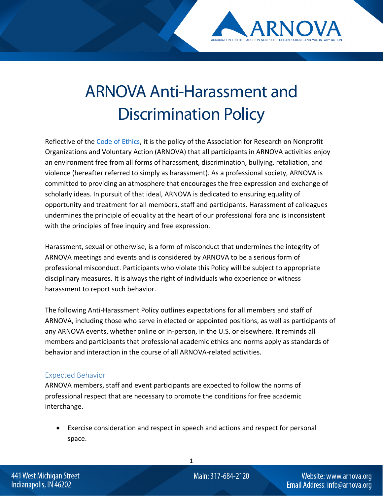

# ARNOVA Anti-Harassment and Discrimination Policy

Reflective of the [Code of Ethics,](https://www.arnova.org/general/custom.asp?page=codeofethics) it is the policy of the Association for Research on Nonprofit Organizations and Voluntary Action (ARNOVA) that all participants in ARNOVA activities enjoy an environment free from all forms of harassment, discrimination, bullying, retaliation, and violence (hereafter referred to simply as harassment). As a professional society, ARNOVA is committed to providing an atmosphere that encourages the free expression and exchange of scholarly ideas. In pursuit of that ideal, ARNOVA is dedicated to ensuring equality of opportunity and treatment for all members, staff and participants. Harassment of colleagues undermines the principle of equality at the heart of our professional fora and is inconsistent with the principles of free inquiry and free expression.

Harassment, sexual or otherwise, is a form of misconduct that undermines the integrity of ARNOVA meetings and events and is considered by ARNOVA to be a serious form of professional misconduct. Participants who violate this Policy will be subject to appropriate disciplinary measures. It is always the right of individuals who experience or witness harassment to report such behavior.

The following Anti-Harassment Policy outlines expectations for all members and staff of ARNOVA, including those who serve in elected or appointed positions, as well as participants of any ARNOVA events, whether online or in-person, in the U.S. or elsewhere. It reminds all members and participants that professional academic ethics and norms apply as standards of behavior and interaction in the course of all ARNOVA-related activities.

## Expected Behavior

ARNOVA members, staff and event participants are expected to follow the norms of professional respect that are necessary to promote the conditions for free academic interchange.

• Exercise consideration and respect in speech and actions and respect for personal space.

1

441 West Michigan Street Indianapolis, IN 46202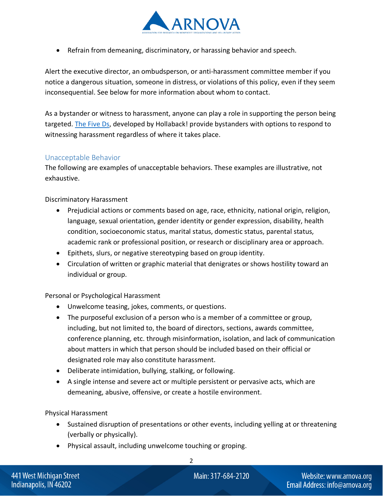

• Refrain from demeaning, discriminatory, or harassing behavior and speech.

Alert the executive director, an ombudsperson, or anti-harassment committee member if you notice a dangerous situation, someone in distress, or violations of this policy, even if they seem inconsequential. See below for more information about whom to contact.

As a bystander or witness to harassment, anyone can play a role in supporting the person being targeted[. The Five Ds,](https://www.ihollaback.org/bystander-resources/) developed by Hollaback! provide bystanders with options to respond to witnessing harassment regardless of where it takes place.

#### Unacceptable Behavior

The following are examples of unacceptable behaviors. These examples are illustrative, not exhaustive.

Discriminatory Harassment

- Prejudicial actions or comments based on age, race, ethnicity, national origin, religion, language, sexual orientation, gender identity or gender expression, disability, health condition, socioeconomic status, marital status, domestic status, parental status, academic rank or professional position, or research or disciplinary area or approach.
- Epithets, slurs, or negative stereotyping based on group identity.
- Circulation of written or graphic material that denigrates or shows hostility toward an individual or group.

Personal or Psychological Harassment

- Unwelcome teasing, jokes, comments, or questions.
- The purposeful exclusion of a person who is a member of a committee or group, including, but not limited to, the board of directors, sections, awards committee, conference planning, etc. through misinformation, isolation, and lack of communication about matters in which that person should be included based on their official or designated role may also constitute harassment.
- Deliberate intimidation, bullying, stalking, or following.
- A single intense and severe act or multiple persistent or pervasive acts, which are demeaning, abusive, offensive, or create a hostile environment.

Physical Harassment

- Sustained disruption of presentations or other events, including yelling at or threatening (verbally or physically).
- Physical assault, including unwelcome touching or groping.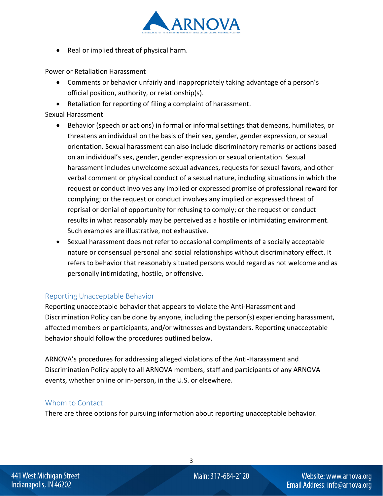

• Real or implied threat of physical harm.

Power or Retaliation Harassment

- Comments or behavior unfairly and inappropriately taking advantage of a person's official position, authority, or relationship(s).
- Retaliation for reporting of filing a complaint of harassment.

## Sexual Harassment

- Behavior (speech or actions) in formal or informal settings that demeans, humiliates, or threatens an individual on the basis of their sex, gender, gender expression, or sexual orientation. Sexual harassment can also include discriminatory remarks or actions based on an individual's sex, gender, gender expression or sexual orientation. Sexual harassment includes unwelcome sexual advances, requests for sexual favors, and other verbal comment or physical conduct of a sexual nature, including situations in which the request or conduct involves any implied or expressed promise of professional reward for complying; or the request or conduct involves any implied or expressed threat of reprisal or denial of opportunity for refusing to comply; or the request or conduct results in what reasonably may be perceived as a hostile or intimidating environment. Such examples are illustrative, not exhaustive.
- Sexual harassment does not refer to occasional compliments of a socially acceptable nature or consensual personal and social relationships without discriminatory effect. It refers to behavior that reasonably situated persons would regard as not welcome and as personally intimidating, hostile, or offensive.

# Reporting Unacceptable Behavior

Reporting unacceptable behavior that appears to violate the Anti-Harassment and Discrimination Policy can be done by anyone, including the person(s) experiencing harassment, affected members or participants, and/or witnesses and bystanders. Reporting unacceptable behavior should follow the procedures outlined below.

ARNOVA's procedures for addressing alleged violations of the Anti-Harassment and Discrimination Policy apply to all ARNOVA members, staff and participants of any ARNOVA events, whether online or in-person, in the U.S. or elsewhere.

## Whom to Contact

There are three options for pursuing information about reporting unacceptable behavior.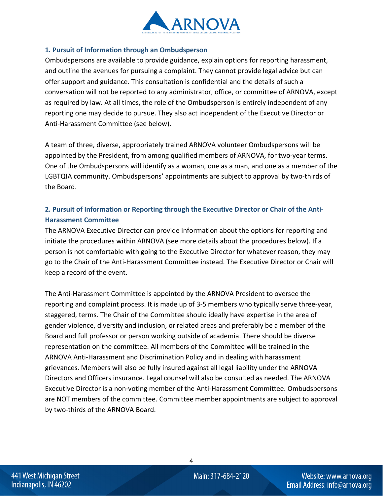

#### **1. Pursuit of Information through an Ombudsperson**

Ombudspersons are available to provide guidance, explain options for reporting harassment, and outline the avenues for pursuing a complaint. They cannot provide legal advice but can offer support and guidance. This consultation is confidential and the details of such a conversation will not be reported to any administrator, office, or committee of ARNOVA, except as required by law. At all times, the role of the Ombudsperson is entirely independent of any reporting one may decide to pursue. They also act independent of the Executive Director or Anti-Harassment Committee (see below).

A team of three, diverse, appropriately trained ARNOVA volunteer Ombudspersons will be appointed by the President, from among qualified members of ARNOVA, for two-year terms. One of the Ombudspersons will identify as a woman, one as a man, and one as a member of the LGBTQIA community. Ombudspersons' appointments are subject to approval by two-thirds of the Board.

# **2. Pursuit of Information or Reporting through the Executive Director or Chair of the Anti-Harassment Committee**

The ARNOVA Executive Director can provide information about the options for reporting and initiate the procedures within ARNOVA (see more details about the procedures below). If a person is not comfortable with going to the Executive Director for whatever reason, they may go to the Chair of the Anti-Harassment Committee instead. The Executive Director or Chair will keep a record of the event.

The Anti-Harassment Committee is appointed by the ARNOVA President to oversee the reporting and complaint process. It is made up of 3-5 members who typically serve three-year, staggered, terms. The Chair of the Committee should ideally have expertise in the area of gender violence, diversity and inclusion, or related areas and preferably be a member of the Board and full professor or person working outside of academia. There should be diverse representation on the committee. All members of the Committee will be trained in the ARNOVA Anti-Harassment and Discrimination Policy and in dealing with harassment grievances. Members will also be fully insured against all legal liability under the ARNOVA Directors and Officers insurance. Legal counsel will also be consulted as needed. The ARNOVA Executive Director is a non-voting member of the Anti-Harassment Committee. Ombudspersons are NOT members of the committee. Committee member appointments are subject to approval by two-thirds of the ARNOVA Board.

4

441 West Michigan Street Indianapolis, IN 46202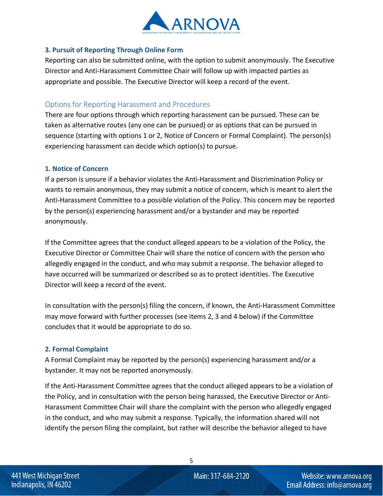

#### **3. Pursuit of Reporting Through Online Form**

Reporting can also be submitted online, with the option to submit anonymously. The Executive Director and Anti-Harassment Committee Chair will follow up with impacted parties as appropriate and possible. The Executive Director will keep a record of the event.

## Options for Reporting Harassment and Procedures

There are four options through which reporting harassment can be pursued. These can be taken as alternative routes (any one can be pursued) or as options that can be pursued in sequence (starting with options 1 or 2, Notice of Concern or Formal Complaint). The person(s) experiencing harassment can decide which option(s) to pursue.

#### **1. Notice of Concern**

If a person is unsure if a behavior violates the Anti-Harassment and Discrimination Policy or wants to remain anonymous, they may submit a notice of concern, which is meant to alert the Anti-Harassment Committee to a possible violation of the Policy. This concern may be reported by the person(s) experiencing harassment and/or a bystander and may be reported anonymously.

If the Committee agrees that the conduct alleged appears to be a violation of the Policy, the Executive Director or Committee Chair will share the notice of concern with the person who allegedly engaged in the conduct, and who may submit a response. The behavior alleged to have occurred will be summarized or described so as to protect identities. The Executive Director will keep a record of the event.

In consultation with the person(s) filing the concern, if known, the Anti-Harassment Committee may move forward with further processes (see items 2, 3 and 4 below) if the Committee concludes that it would be appropriate to do so.

#### **2. Formal Complaint**

A Formal Complaint may be reported by the person(s) experiencing harassment and/or a bystander. It may not be reported anonymously.

If the Anti-Harassment Committee agrees that the conduct alleged appears to be a violation of the Policy, and in consultation with the person being harassed, the Executive Director or Anti-Harassment Committee Chair will share the complaint with the person who allegedly engaged in the conduct, and who may submit a response. Typically, the information shared will not identify the person filing the complaint, but rather will describe the behavior alleged to have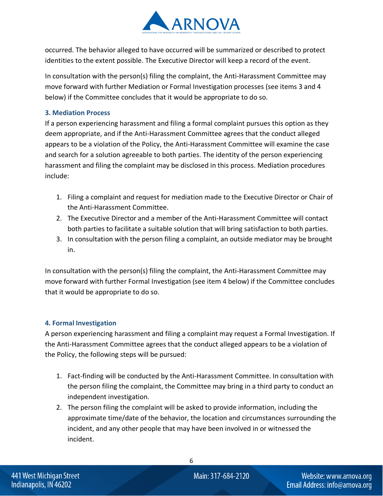

occurred. The behavior alleged to have occurred will be summarized or described to protect identities to the extent possible. The Executive Director will keep a record of the event.

In consultation with the person(s) filing the complaint, the Anti-Harassment Committee may move forward with further Mediation or Formal Investigation processes (see items 3 and 4 below) if the Committee concludes that it would be appropriate to do so.

#### **3. Mediation Process**

If a person experiencing harassment and filing a formal complaint pursues this option as they deem appropriate, and if the Anti-Harassment Committee agrees that the conduct alleged appears to be a violation of the Policy, the Anti-Harassment Committee will examine the case and search for a solution agreeable to both parties. The identity of the person experiencing harassment and filing the complaint may be disclosed in this process. Mediation procedures include:

- 1. Filing a complaint and request for mediation made to the Executive Director or Chair of the Anti-Harassment Committee.
- 2. The Executive Director and a member of the Anti-Harassment Committee will contact both parties to facilitate a suitable solution that will bring satisfaction to both parties.
- 3. In consultation with the person filing a complaint, an outside mediator may be brought in.

In consultation with the person(s) filing the complaint, the Anti-Harassment Committee may move forward with further Formal Investigation (see item 4 below) if the Committee concludes that it would be appropriate to do so.

## **4. Formal Investigation**

A person experiencing harassment and filing a complaint may request a Formal Investigation. If the Anti-Harassment Committee agrees that the conduct alleged appears to be a violation of the Policy, the following steps will be pursued:

- 1. Fact-finding will be conducted by the Anti-Harassment Committee. In consultation with the person filing the complaint, the Committee may bring in a third party to conduct an independent investigation.
- 2. The person filing the complaint will be asked to provide information, including the approximate time/date of the behavior, the location and circumstances surrounding the incident, and any other people that may have been involved in or witnessed the incident.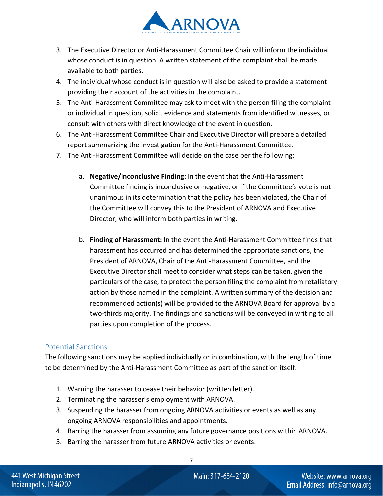

- 3. The Executive Director or Anti-Harassment Committee Chair will inform the individual whose conduct is in question. A written statement of the complaint shall be made available to both parties.
- 4. The individual whose conduct is in question will also be asked to provide a statement providing their account of the activities in the complaint.
- 5. The Anti-Harassment Committee may ask to meet with the person filing the complaint or individual in question, solicit evidence and statements from identified witnesses, or consult with others with direct knowledge of the event in question.
- 6. The Anti-Harassment Committee Chair and Executive Director will prepare a detailed report summarizing the investigation for the Anti-Harassment Committee.
- 7. The Anti-Harassment Committee will decide on the case per the following:
	- a. **Negative/Inconclusive Finding:** In the event that the Anti-Harassment Committee finding is inconclusive or negative, or if the Committee's vote is not unanimous in its determination that the policy has been violated, the Chair of the Committee will convey this to the President of ARNOVA and Executive Director, who will inform both parties in writing.
	- b. **Finding of Harassment:** In the event the Anti-Harassment Committee finds that harassment has occurred and has determined the appropriate sanctions, the President of ARNOVA, Chair of the Anti-Harassment Committee, and the Executive Director shall meet to consider what steps can be taken, given the particulars of the case, to protect the person filing the complaint from retaliatory action by those named in the complaint. A written summary of the decision and recommended action(s) will be provided to the ARNOVA Board for approval by a two-thirds majority. The findings and sanctions will be conveyed in writing to all parties upon completion of the process.

## Potential Sanctions

The following sanctions may be applied individually or in combination, with the length of time to be determined by the Anti-Harassment Committee as part of the sanction itself:

- 1. Warning the harasser to cease their behavior (written letter).
- 2. Terminating the harasser's employment with ARNOVA.
- 3. Suspending the harasser from ongoing ARNOVA activities or events as well as any ongoing ARNOVA responsibilities and appointments.
- 4. Barring the harasser from assuming any future governance positions within ARNOVA.

7

5. Barring the harasser from future ARNOVA activities or events.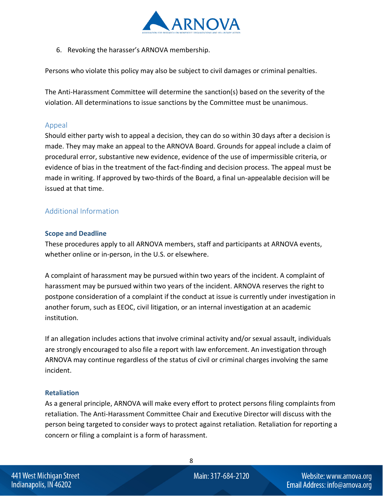

6. Revoking the harasser's ARNOVA membership.

Persons who violate this policy may also be subject to civil damages or criminal penalties.

The Anti-Harassment Committee will determine the sanction(s) based on the severity of the violation. All determinations to issue sanctions by the Committee must be unanimous.

#### Appeal

Should either party wish to appeal a decision, they can do so within 30 days after a decision is made. They may make an appeal to the ARNOVA Board. Grounds for appeal include a claim of procedural error, substantive new evidence, evidence of the use of impermissible criteria, or evidence of bias in the treatment of the fact-finding and decision process. The appeal must be made in writing. If approved by two-thirds of the Board, a final un-appealable decision will be issued at that time.

## Additional Information

#### **Scope and Deadline**

These procedures apply to all ARNOVA members, staff and participants at ARNOVA events, whether online or in-person, in the U.S. or elsewhere.

A complaint of harassment may be pursued within two years of the incident. A complaint of harassment may be pursued within two years of the incident. ARNOVA reserves the right to postpone consideration of a complaint if the conduct at issue is currently under investigation in another forum, such as EEOC, civil litigation, or an internal investigation at an academic institution.

If an allegation includes actions that involve criminal activity and/or sexual assault, individuals are strongly encouraged to also file a report with law enforcement. An investigation through ARNOVA may continue regardless of the status of civil or criminal charges involving the same incident.

#### **Retaliation**

As a general principle, ARNOVA will make every effort to protect persons filing complaints from retaliation. The Anti-Harassment Committee Chair and Executive Director will discuss with the person being targeted to consider ways to protect against retaliation. Retaliation for reporting a concern or filing a complaint is a form of harassment.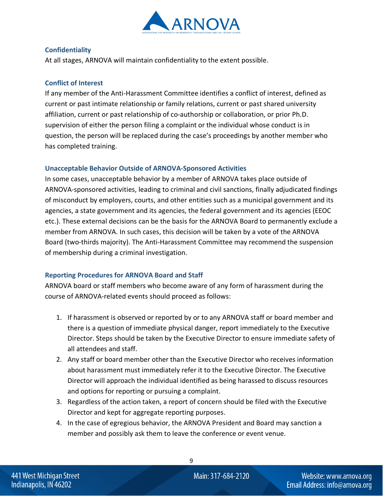

#### **Confidentiality**

At all stages, ARNOVA will maintain confidentiality to the extent possible.

#### **Conflict of Interest**

If any member of the Anti-Harassment Committee identifies a conflict of interest, defined as current or past intimate relationship or family relations, current or past shared university affiliation, current or past relationship of co-authorship or collaboration, or prior Ph.D. supervision of either the person filing a complaint or the individual whose conduct is in question, the person will be replaced during the case's proceedings by another member who has completed training.

#### **Unacceptable Behavior Outside of ARNOVA-Sponsored Activities**

In some cases, unacceptable behavior by a member of ARNOVA takes place outside of ARNOVA-sponsored activities, leading to criminal and civil sanctions, finally adjudicated findings of misconduct by employers, courts, and other entities such as a municipal government and its agencies, a state government and its agencies, the federal government and its agencies (EEOC etc.). These external decisions can be the basis for the ARNOVA Board to permanently exclude a member from ARNOVA. In such cases, this decision will be taken by a vote of the ARNOVA Board (two-thirds majority). The Anti-Harassment Committee may recommend the suspension of membership during a criminal investigation.

## **Reporting Procedures for ARNOVA Board and Staff**

ARNOVA board or staff members who become aware of any form of harassment during the course of ARNOVA-related events should proceed as follows:

- 1. If harassment is observed or reported by or to any ARNOVA staff or board member and there is a question of immediate physical danger, report immediately to the Executive Director. Steps should be taken by the Executive Director to ensure immediate safety of all attendees and staff.
- 2. Any staff or board member other than the Executive Director who receives information about harassment must immediately refer it to the Executive Director. The Executive Director will approach the individual identified as being harassed to discuss resources and options for reporting or pursuing a complaint.
- 3. Regardless of the action taken, a report of concern should be filed with the Executive Director and kept for aggregate reporting purposes.
- 4. In the case of egregious behavior, the ARNOVA President and Board may sanction a member and possibly ask them to leave the conference or event venue.